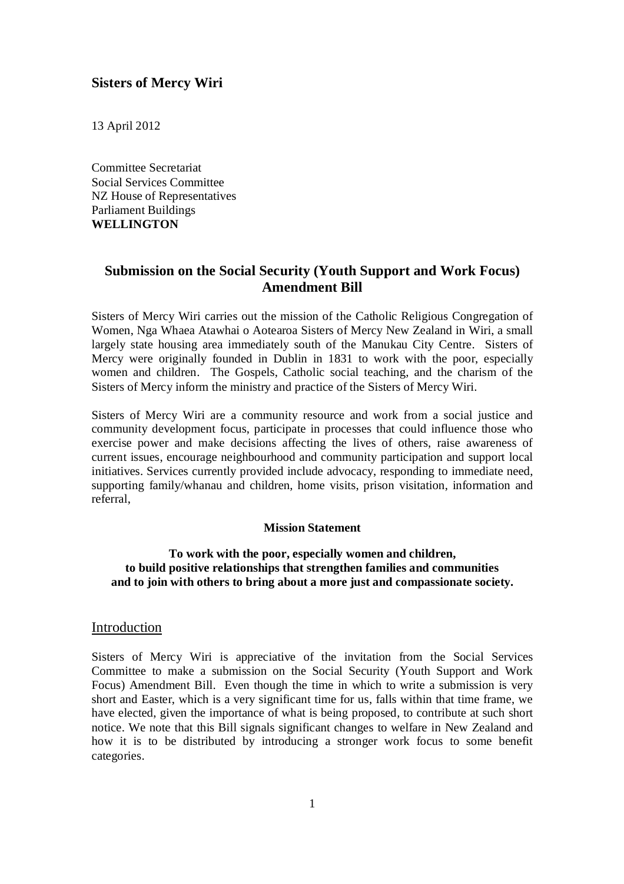## **Sisters of Mercy Wiri**

13 April 2012

Committee Secretariat Social Services Committee NZ House of Representatives Parliament Buildings **WELLINGTON**

# **Submission on the Social Security (Youth Support and Work Focus) Amendment Bill**

Sisters of Mercy Wiri carries out the mission of the Catholic Religious Congregation of Women, Nga Whaea Atawhai o Aotearoa Sisters of Mercy New Zealand in Wiri, a small largely state housing area immediately south of the Manukau City Centre. Sisters of Mercy were originally founded in Dublin in 1831 to work with the poor, especially women and children. The Gospels, Catholic social teaching, and the charism of the Sisters of Mercy inform the ministry and practice of the Sisters of Mercy Wiri.

Sisters of Mercy Wiri are a community resource and work from a social justice and community development focus, participate in processes that could influence those who exercise power and make decisions affecting the lives of others, raise awareness of current issues, encourage neighbourhood and community participation and support local initiatives. Services currently provided include advocacy, responding to immediate need, supporting family/whanau and children, home visits, prison visitation, information and referral,

#### **Mission Statement**

#### **To work with the poor, especially women and children, to build positive relationships that strengthen families and communities and to join with others to bring about a more just and compassionate society.**

#### Introduction

Sisters of Mercy Wiri is appreciative of the invitation from the Social Services Committee to make a submission on the Social Security (Youth Support and Work Focus) Amendment Bill. Even though the time in which to write a submission is very short and Easter, which is a very significant time for us, falls within that time frame, we have elected, given the importance of what is being proposed, to contribute at such short notice. We note that this Bill signals significant changes to welfare in New Zealand and how it is to be distributed by introducing a stronger work focus to some benefit categories.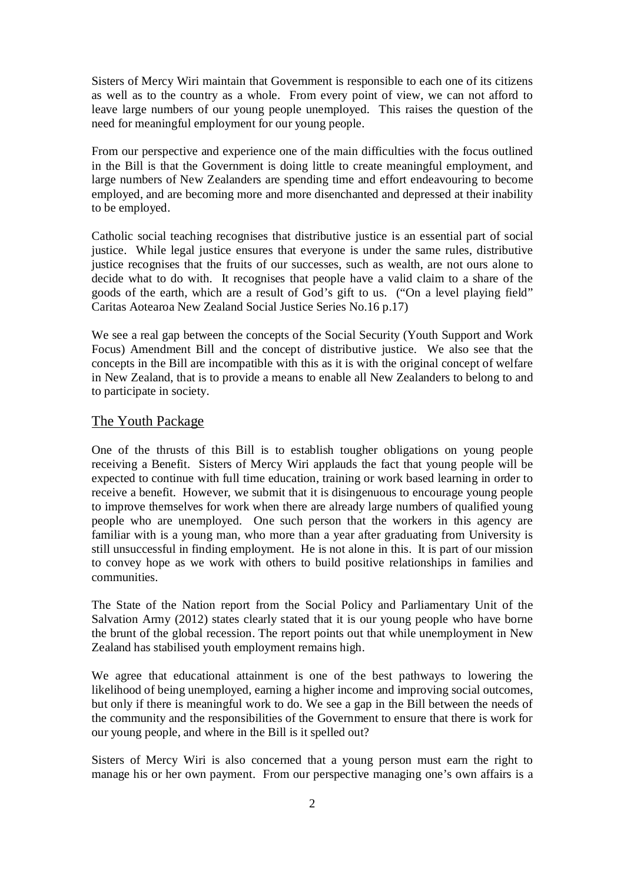Sisters of Mercy Wiri maintain that Government is responsible to each one of its citizens as well as to the country as a whole. From every point of view, we can not afford to leave large numbers of our young people unemployed. This raises the question of the need for meaningful employment for our young people.

From our perspective and experience one of the main difficulties with the focus outlined in the Bill is that the Government is doing little to create meaningful employment, and large numbers of New Zealanders are spending time and effort endeavouring to become employed, and are becoming more and more disenchanted and depressed at their inability to be employed.

Catholic social teaching recognises that distributive justice is an essential part of social justice. While legal justice ensures that everyone is under the same rules, distributive justice recognises that the fruits of our successes, such as wealth, are not ours alone to decide what to do with. It recognises that people have a valid claim to a share of the goods of the earth, which are a result of God's gift to us. ("On a level playing field" Caritas Aotearoa New Zealand Social Justice Series No.16 p.17)

We see a real gap between the concepts of the Social Security (Youth Support and Work Focus) Amendment Bill and the concept of distributive justice. We also see that the concepts in the Bill are incompatible with this as it is with the original concept of welfare in New Zealand, that is to provide a means to enable all New Zealanders to belong to and to participate in society.

## The Youth Package

One of the thrusts of this Bill is to establish tougher obligations on young people receiving a Benefit. Sisters of Mercy Wiri applauds the fact that young people will be expected to continue with full time education, training or work based learning in order to receive a benefit. However, we submit that it is disingenuous to encourage young people to improve themselves for work when there are already large numbers of qualified young people who are unemployed. One such person that the workers in this agency are familiar with is a young man, who more than a year after graduating from University is still unsuccessful in finding employment. He is not alone in this. It is part of our mission to convey hope as we work with others to build positive relationships in families and communities.

The State of the Nation report from the Social Policy and Parliamentary Unit of the Salvation Army (2012) states clearly stated that it is our young people who have borne the brunt of the global recession. The report points out that while unemployment in New Zealand has stabilised youth employment remains high.

We agree that educational attainment is one of the best pathways to lowering the likelihood of being unemployed, earning a higher income and improving social outcomes, but only if there is meaningful work to do. We see a gap in the Bill between the needs of the community and the responsibilities of the Government to ensure that there is work for our young people, and where in the Bill is it spelled out?

Sisters of Mercy Wiri is also concerned that a young person must earn the right to manage his or her own payment. From our perspective managing one's own affairs is a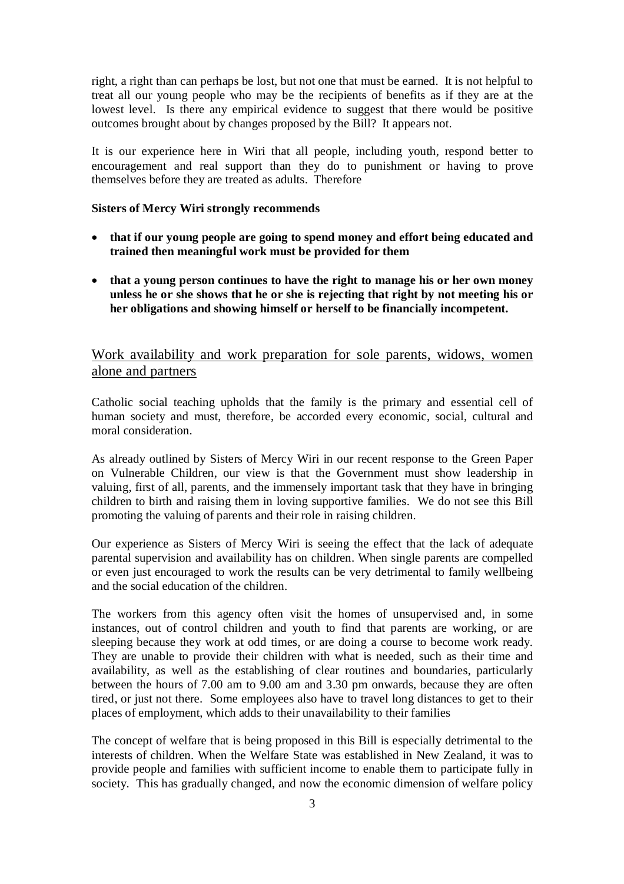right, a right than can perhaps be lost, but not one that must be earned. It is not helpful to treat all our young people who may be the recipients of benefits as if they are at the lowest level. Is there any empirical evidence to suggest that there would be positive outcomes brought about by changes proposed by the Bill? It appears not.

It is our experience here in Wiri that all people, including youth, respond better to encouragement and real support than they do to punishment or having to prove themselves before they are treated as adults. Therefore

#### **Sisters of Mercy Wiri strongly recommends**

- **that if our young people are going to spend money and effort being educated and trained then meaningful work must be provided for them**
- **that a young person continues to have the right to manage his or her own money unless he or she shows that he or she is rejecting that right by not meeting his or her obligations and showing himself or herself to be financially incompetent.**

# Work availability and work preparation for sole parents, widows, women alone and partners

Catholic social teaching upholds that the family is the primary and essential cell of human society and must, therefore, be accorded every economic, social, cultural and moral consideration.

As already outlined by Sisters of Mercy Wiri in our recent response to the Green Paper on Vulnerable Children, our view is that the Government must show leadership in valuing, first of all, parents, and the immensely important task that they have in bringing children to birth and raising them in loving supportive families. We do not see this Bill promoting the valuing of parents and their role in raising children.

Our experience as Sisters of Mercy Wiri is seeing the effect that the lack of adequate parental supervision and availability has on children. When single parents are compelled or even just encouraged to work the results can be very detrimental to family wellbeing and the social education of the children.

The workers from this agency often visit the homes of unsupervised and, in some instances, out of control children and youth to find that parents are working, or are sleeping because they work at odd times, or are doing a course to become work ready. They are unable to provide their children with what is needed, such as their time and availability, as well as the establishing of clear routines and boundaries, particularly between the hours of 7.00 am to 9.00 am and 3.30 pm onwards, because they are often tired, or just not there. Some employees also have to travel long distances to get to their places of employment, which adds to their unavailability to their families

The concept of welfare that is being proposed in this Bill is especially detrimental to the interests of children. When the Welfare State was established in New Zealand, it was to provide people and families with sufficient income to enable them to participate fully in society. This has gradually changed, and now the economic dimension of welfare policy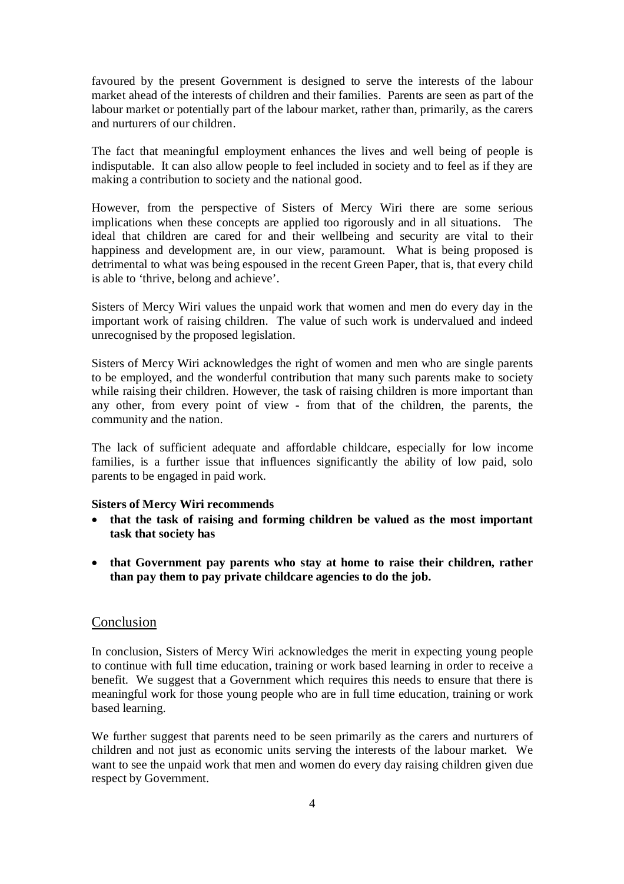favoured by the present Government is designed to serve the interests of the labour market ahead of the interests of children and their families. Parents are seen as part of the labour market or potentially part of the labour market, rather than, primarily, as the carers and nurturers of our children.

The fact that meaningful employment enhances the lives and well being of people is indisputable. It can also allow people to feel included in society and to feel as if they are making a contribution to society and the national good.

However, from the perspective of Sisters of Mercy Wiri there are some serious implications when these concepts are applied too rigorously and in all situations. The ideal that children are cared for and their wellbeing and security are vital to their happiness and development are, in our view, paramount. What is being proposed is detrimental to what was being espoused in the recent Green Paper, that is, that every child is able to 'thrive, belong and achieve'.

Sisters of Mercy Wiri values the unpaid work that women and men do every day in the important work of raising children. The value of such work is undervalued and indeed unrecognised by the proposed legislation.

Sisters of Mercy Wiri acknowledges the right of women and men who are single parents to be employed, and the wonderful contribution that many such parents make to society while raising their children. However, the task of raising children is more important than any other, from every point of view - from that of the children, the parents, the community and the nation.

The lack of sufficient adequate and affordable childcare, especially for low income families, is a further issue that influences significantly the ability of low paid, solo parents to be engaged in paid work.

# **Sisters of Mercy Wiri recommends**

- **that the task of raising and forming children be valued as the most important task that society has**
- **that Government pay parents who stay at home to raise their children, rather than pay them to pay private childcare agencies to do the job.**

## Conclusion

In conclusion, Sisters of Mercy Wiri acknowledges the merit in expecting young people to continue with full time education, training or work based learning in order to receive a benefit. We suggest that a Government which requires this needs to ensure that there is meaningful work for those young people who are in full time education, training or work based learning.

We further suggest that parents need to be seen primarily as the carers and nurturers of children and not just as economic units serving the interests of the labour market. We want to see the unpaid work that men and women do every day raising children given due respect by Government.